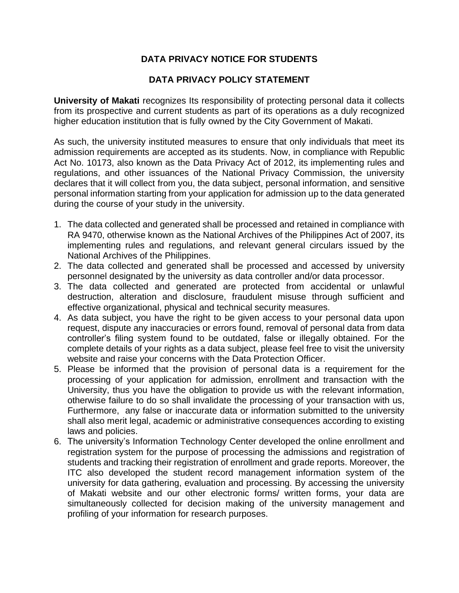# **DATA PRIVACY NOTICE FOR STUDENTS**

## **DATA PRIVACY POLICY STATEMENT**

**University of Makati** recognizes Its responsibility of protecting personal data it collects from its prospective and current students as part of its operations as a duly recognized higher education institution that is fully owned by the City Government of Makati.

As such, the university instituted measures to ensure that only individuals that meet its admission requirements are accepted as its students. Now, in compliance with Republic Act No. 10173, also known as the Data Privacy Act of 2012, its implementing rules and regulations, and other issuances of the National Privacy Commission, the university declares that it will collect from you, the data subject, personal information, and sensitive personal information starting from your application for admission up to the data generated during the course of your study in the university.

- 1. The data collected and generated shall be processed and retained in compliance with RA 9470, otherwise known as the National Archives of the Philippines Act of 2007, its implementing rules and regulations, and relevant general circulars issued by the National Archives of the Philippines.
- 2. The data collected and generated shall be processed and accessed by university personnel designated by the university as data controller and/or data processor.
- 3. The data collected and generated are protected from accidental or unlawful destruction, alteration and disclosure, fraudulent misuse through sufficient and effective organizational, physical and technical security measures.
- 4. As data subject, you have the right to be given access to your personal data upon request, dispute any inaccuracies or errors found, removal of personal data from data controller's filing system found to be outdated, false or illegally obtained. For the complete details of your rights as a data subject, please feel free to visit the university website and raise your concerns with the Data Protection Officer.
- 5. Please be informed that the provision of personal data is a requirement for the processing of your application for admission, enrollment and transaction with the University, thus you have the obligation to provide us with the relevant information, otherwise failure to do so shall invalidate the processing of your transaction with us, Furthermore, any false or inaccurate data or information submitted to the university shall also merit legal, academic or administrative consequences according to existing laws and policies.
- 6. The university's Information Technology Center developed the online enrollment and registration system for the purpose of processing the admissions and registration of students and tracking their registration of enrollment and grade reports. Moreover, the ITC also developed the student record management information system of the university for data gathering, evaluation and processing. By accessing the university of Makati website and our other electronic forms/ written forms, your data are simultaneously collected for decision making of the university management and profiling of your information for research purposes.